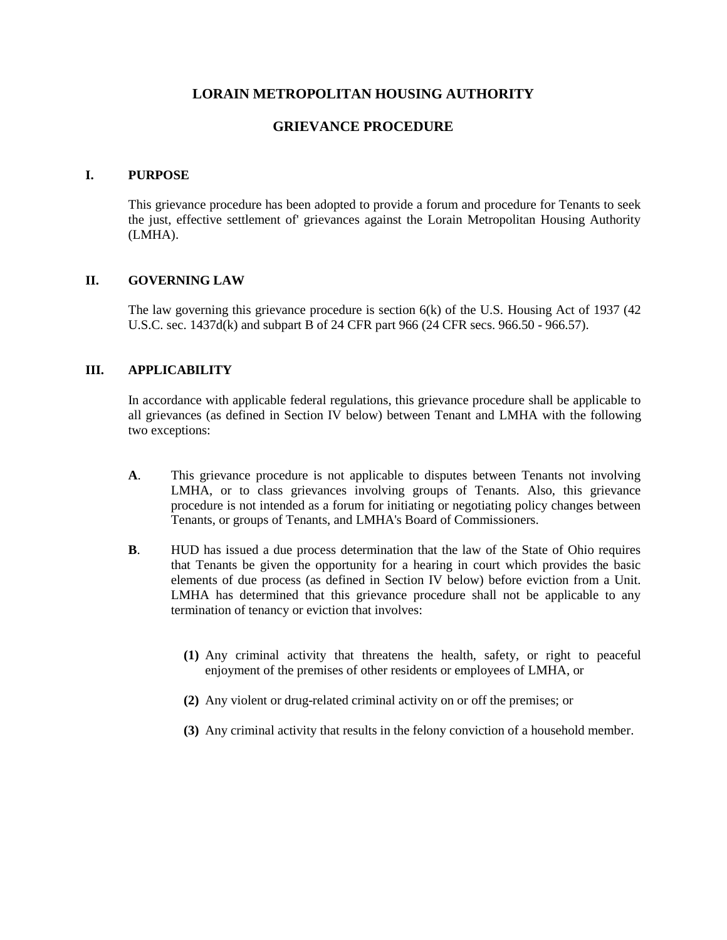## **LORAIN METROPOLITAN HOUSING AUTHORITY**

## **GRIEVANCE PROCEDURE**

## **I. PURPOSE**

This grievance procedure has been adopted to provide a forum and procedure for Tenants to seek the just, effective settlement of' grievances against the Lorain Metropolitan Housing Authority (LMHA).

## **II. GOVERNING LAW**

The law governing this grievance procedure is section  $6(k)$  of the U.S. Housing Act of 1937 (42) U.S.C. sec. 1437d(k) and subpart B of 24 CFR part 966 (24 CFR secs. 966.50 - 966.57).

## **III. APPLICABILITY**

In accordance with applicable federal regulations, this grievance procedure shall be applicable to all grievances (as defined in Section IV below) between Tenant and LMHA with the following two exceptions:

- **A**. This grievance procedure is not applicable to disputes between Tenants not involving LMHA, or to class grievances involving groups of Tenants. Also, this grievance procedure is not intended as a forum for initiating or negotiating policy changes between Tenants, or groups of Tenants, and LMHA's Board of Commissioners.
- **B**. HUD has issued a due process determination that the law of the State of Ohio requires that Tenants be given the opportunity for a hearing in court which provides the basic elements of due process (as defined in Section IV below) before eviction from a Unit. LMHA has determined that this grievance procedure shall not be applicable to any termination of tenancy or eviction that involves:
	- **(1)** Any criminal activity that threatens the health, safety, or right to peaceful enjoyment of the premises of other residents or employees of LMHA, or
	- **(2)** Any violent or drug-related criminal activity on or off the premises; or
	- **(3)** Any criminal activity that results in the felony conviction of a household member.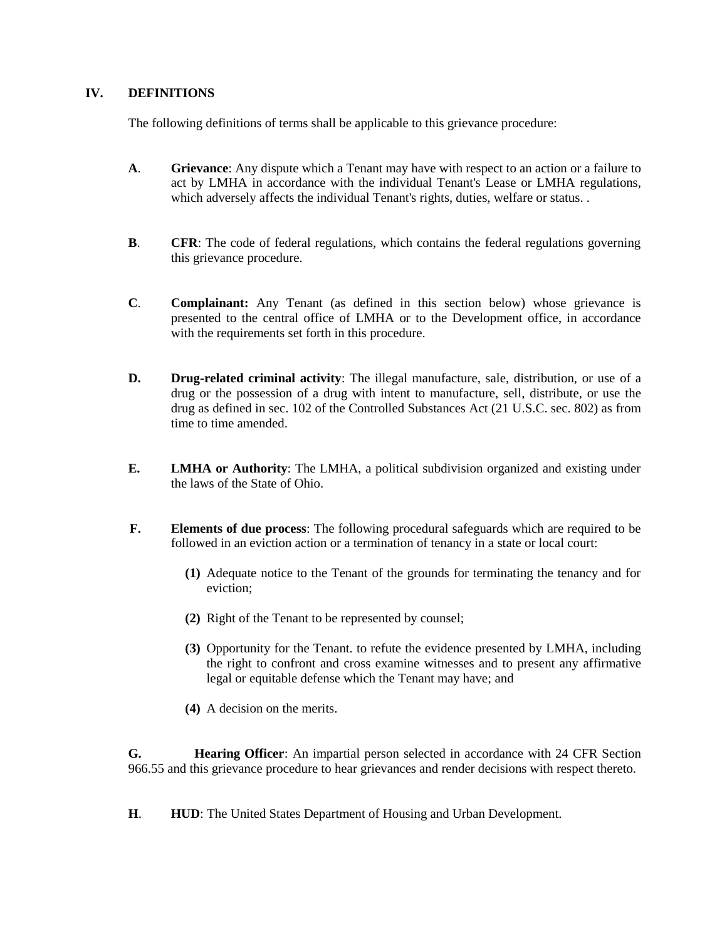## **IV. DEFINITIONS**

The following definitions of terms shall be applicable to this grievance procedure:

- **A**. **Grievance**: Any dispute which a Tenant may have with respect to an action or a failure to act by LMHA in accordance with the individual Tenant's Lease or LMHA regulations, which adversely affects the individual Tenant's rights, duties, welfare or status. .
- **B**. **CFR**: The code of federal regulations, which contains the federal regulations governing this grievance procedure.
- **C**. **Complainant:** Any Tenant (as defined in this section below) whose grievance is presented to the central office of LMHA or to the Development office, in accordance with the requirements set forth in this procedure.
- **D. Drug-related criminal activity**: The illegal manufacture, sale, distribution, or use of a drug or the possession of a drug with intent to manufacture, sell, distribute, or use the drug as defined in sec. 102 of the Controlled Substances Act (21 U.S.C. sec. 802) as from time to time amended.
- **E. LMHA or Authority**: The LMHA, a political subdivision organized and existing under the laws of the State of Ohio.
- **F. Elements of due process**: The following procedural safeguards which are required to be followed in an eviction action or a termination of tenancy in a state or local court:
	- **(1)** Adequate notice to the Tenant of the grounds for terminating the tenancy and for eviction;
	- **(2)** Right of the Tenant to be represented by counsel;
	- **(3)** Opportunity for the Tenant. to refute the evidence presented by LMHA, including the right to confront and cross examine witnesses and to present any affirmative legal or equitable defense which the Tenant may have; and
	- **(4)** A decision on the merits.

**G. Hearing Officer**: An impartial person selected in accordance with 24 CFR Section 966.55 and this grievance procedure to hear grievances and render decisions with respect thereto.

**H**. **HUD**: The United States Department of Housing and Urban Development.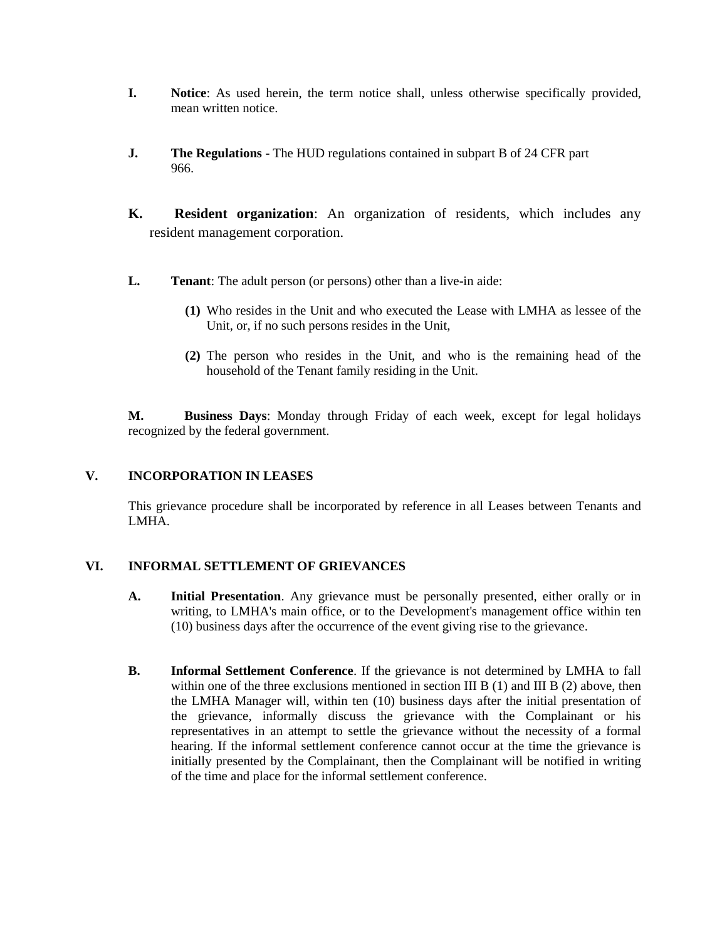- **I. Notice**: As used herein, the term notice shall, unless otherwise specifically provided, mean written notice.
- **J. The Regulations** The HUD regulations contained in subpart B of 24 CFR part 966.
- **K. Resident organization**: An organization of residents, which includes any resident management corporation.
- **L. Tenant**: The adult person (or persons) other than a live-in aide:
	- **(1)** Who resides in the Unit and who executed the Lease with LMHA as lessee of the Unit, or, if no such persons resides in the Unit,
	- **(2)** The person who resides in the Unit, and who is the remaining head of the household of the Tenant family residing in the Unit.

**M. Business Days**: Monday through Friday of each week, except for legal holidays recognized by the federal government.

## **V. INCORPORATION IN LEASES**

This grievance procedure shall be incorporated by reference in all Leases between Tenants and LMHA.

## **VI. INFORMAL SETTLEMENT OF GRIEVANCES**

- **A. Initial Presentation**. Any grievance must be personally presented, either orally or in writing, to LMHA's main office, or to the Development's management office within ten (10) business days after the occurrence of the event giving rise to the grievance.
- **B. Informal Settlement Conference**. If the grievance is not determined by LMHA to fall within one of the three exclusions mentioned in section III B (1) and III B (2) above, then the LMHA Manager will, within ten (10) business days after the initial presentation of the grievance, informally discuss the grievance with the Complainant or his representatives in an attempt to settle the grievance without the necessity of a formal hearing. If the informal settlement conference cannot occur at the time the grievance is initially presented by the Complainant, then the Complainant will be notified in writing of the time and place for the informal settlement conference.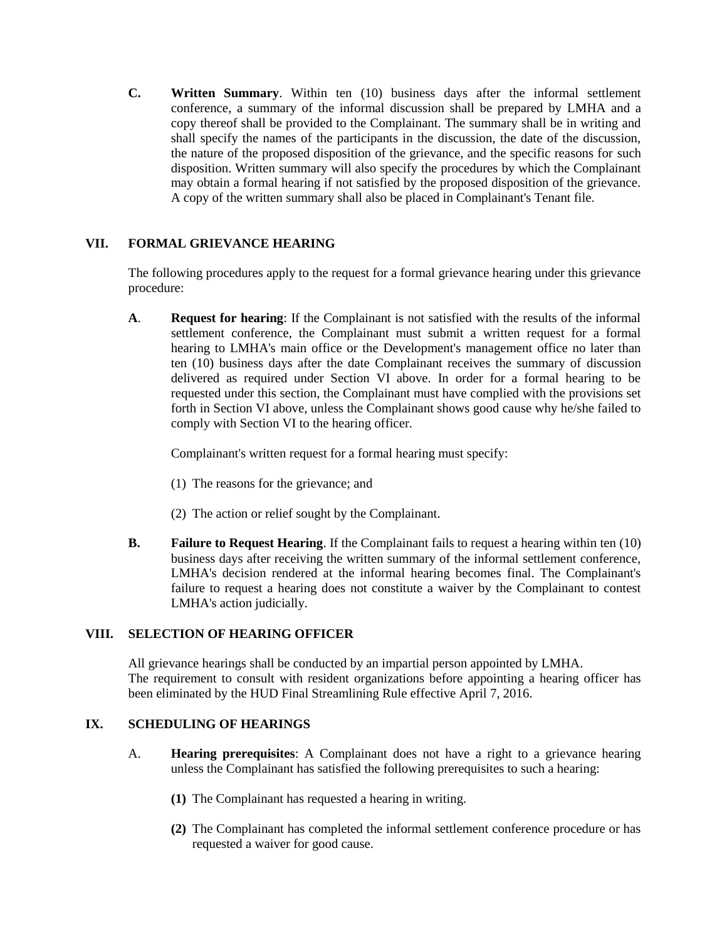**C. Written Summary**. Within ten (10) business days after the informal settlement conference, a summary of the informal discussion shall be prepared by LMHA and a copy thereof shall be provided to the Complainant. The summary shall be in writing and shall specify the names of the participants in the discussion, the date of the discussion, the nature of the proposed disposition of the grievance, and the specific reasons for such disposition. Written summary will also specify the procedures by which the Complainant may obtain a formal hearing if not satisfied by the proposed disposition of the grievance. A copy of the written summary shall also be placed in Complainant's Tenant file.

## **VII. FORMAL GRIEVANCE HEARING**

The following procedures apply to the request for a formal grievance hearing under this grievance procedure:

**A**. **Request for hearing**: If the Complainant is not satisfied with the results of the informal settlement conference, the Complainant must submit a written request for a formal hearing to LMHA's main office or the Development's management office no later than ten (10) business days after the date Complainant receives the summary of discussion delivered as required under Section VI above. In order for a formal hearing to be requested under this section, the Complainant must have complied with the provisions set forth in Section VI above, unless the Complainant shows good cause why he/she failed to comply with Section VI to the hearing officer.

Complainant's written request for a formal hearing must specify:

- (1) The reasons for the grievance; and
- (2) The action or relief sought by the Complainant.
- **B. Failure to Request Hearing**. If the Complainant fails to request a hearing within ten (10) business days after receiving the written summary of the informal settlement conference, LMHA's decision rendered at the informal hearing becomes final. The Complainant's failure to request a hearing does not constitute a waiver by the Complainant to contest LMHA's action judicially.

## **VIII. SELECTION OF HEARING OFFICER**

All grievance hearings shall be conducted by an impartial person appointed by LMHA. The requirement to consult with resident organizations before appointing a hearing officer has been eliminated by the HUD Final Streamlining Rule effective April 7, 2016.

## **IX. SCHEDULING OF HEARINGS**

- A. **Hearing prerequisites**: A Complainant does not have a right to a grievance hearing unless the Complainant has satisfied the following prerequisites to such a hearing:
	- **(1)** The Complainant has requested a hearing in writing.
	- **(2)** The Complainant has completed the informal settlement conference procedure or has requested a waiver for good cause.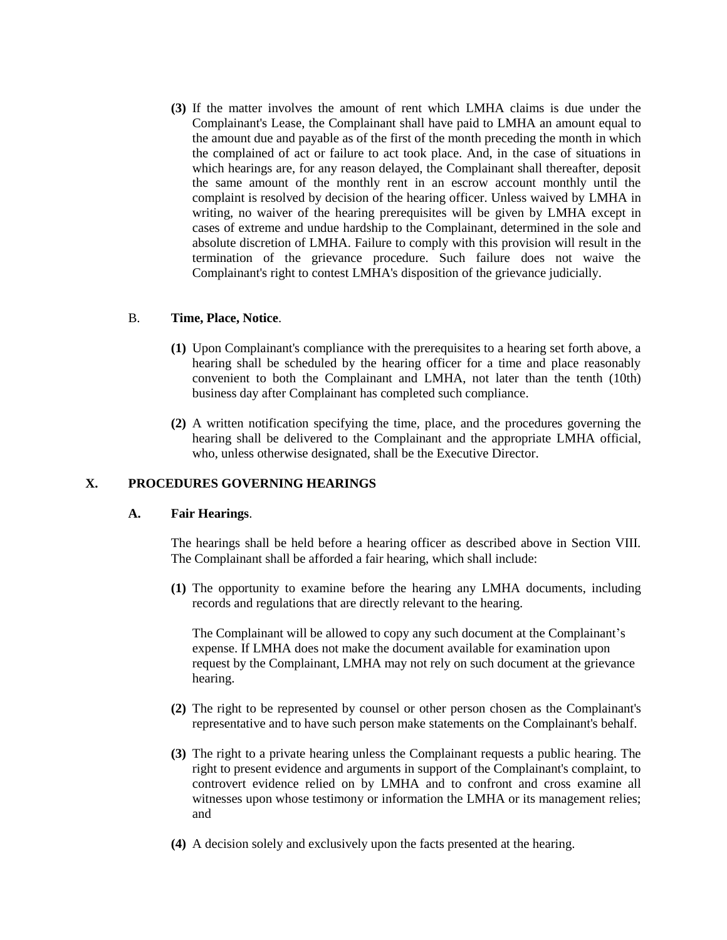**(3)** If the matter involves the amount of rent which LMHA claims is due under the Complainant's Lease, the Complainant shall have paid to LMHA an amount equal to the amount due and payable as of the first of the month preceding the month in which the complained of act or failure to act took place. And, in the case of situations in which hearings are, for any reason delayed, the Complainant shall thereafter, deposit the same amount of the monthly rent in an escrow account monthly until the complaint is resolved by decision of the hearing officer. Unless waived by LMHA in writing, no waiver of the hearing prerequisites will be given by LMHA except in cases of extreme and undue hardship to the Complainant, determined in the sole and absolute discretion of LMHA. Failure to comply with this provision will result in the termination of the grievance procedure. Such failure does not waive the Complainant's right to contest LMHA's disposition of the grievance judicially.

## B. **Time, Place, Notice**.

- **(1)** Upon Complainant's compliance with the prerequisites to a hearing set forth above, a hearing shall be scheduled by the hearing officer for a time and place reasonably convenient to both the Complainant and LMHA, not later than the tenth (10th) business day after Complainant has completed such compliance.
- **(2)** A written notification specifying the time, place, and the procedures governing the hearing shall be delivered to the Complainant and the appropriate LMHA official, who, unless otherwise designated, shall be the Executive Director.

## **X. PROCEDURES GOVERNING HEARINGS**

#### **A. Fair Hearings**.

The hearings shall be held before a hearing officer as described above in Section VIII. The Complainant shall be afforded a fair hearing, which shall include:

**(1)** The opportunity to examine before the hearing any LMHA documents, including records and regulations that are directly relevant to the hearing.

The Complainant will be allowed to copy any such document at the Complainant's expense. If LMHA does not make the document available for examination upon request by the Complainant, LMHA may not rely on such document at the grievance hearing.

- **(2)** The right to be represented by counsel or other person chosen as the Complainant's representative and to have such person make statements on the Complainant's behalf.
- **(3)** The right to a private hearing unless the Complainant requests a public hearing. The right to present evidence and arguments in support of the Complainant's complaint, to controvert evidence relied on by LMHA and to confront and cross examine all witnesses upon whose testimony or information the LMHA or its management relies; and
- **(4)** A decision solely and exclusively upon the facts presented at the hearing.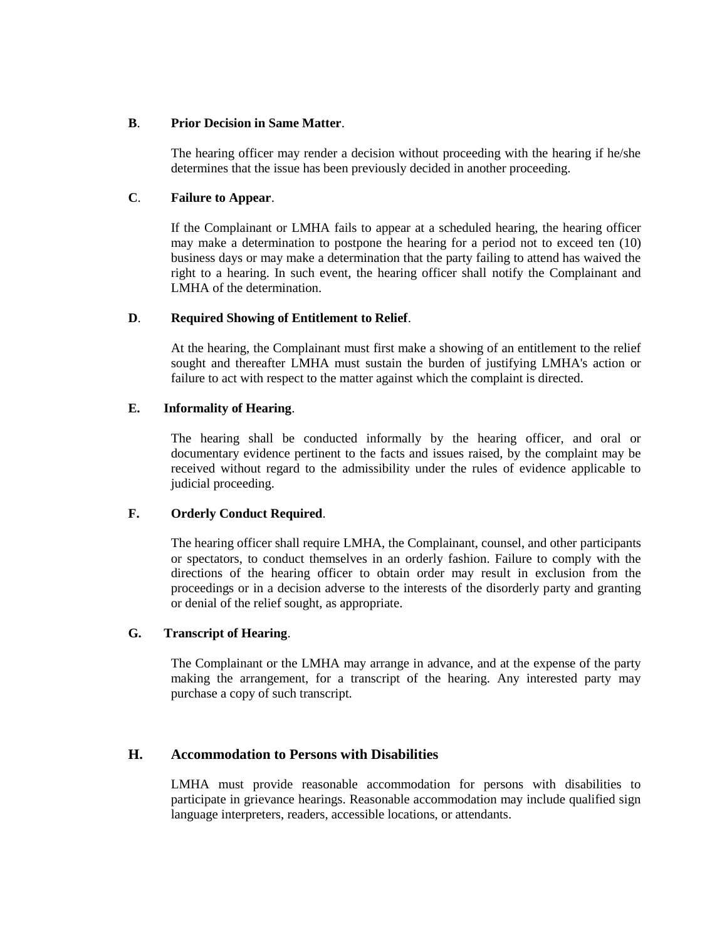#### **B**. **Prior Decision in Same Matter**.

The hearing officer may render a decision without proceeding with the hearing if he/she determines that the issue has been previously decided in another proceeding.

## **C**. **Failure to Appear**.

If the Complainant or LMHA fails to appear at a scheduled hearing, the hearing officer may make a determination to postpone the hearing for a period not to exceed ten (10) business days or may make a determination that the party failing to attend has waived the right to a hearing. In such event, the hearing officer shall notify the Complainant and LMHA of the determination.

## **D**. **Required Showing of Entitlement to Relief**.

At the hearing, the Complainant must first make a showing of an entitlement to the relief sought and thereafter LMHA must sustain the burden of justifying LMHA's action or failure to act with respect to the matter against which the complaint is directed.

## **E. Informality of Hearing**.

The hearing shall be conducted informally by the hearing officer, and oral or documentary evidence pertinent to the facts and issues raised, by the complaint may be received without regard to the admissibility under the rules of evidence applicable to judicial proceeding.

## **F. Orderly Conduct Required**.

The hearing officer shall require LMHA, the Complainant, counsel, and other participants or spectators, to conduct themselves in an orderly fashion. Failure to comply with the directions of the hearing officer to obtain order may result in exclusion from the proceedings or in a decision adverse to the interests of the disorderly party and granting or denial of the relief sought, as appropriate.

## **G. Transcript of Hearing**.

The Complainant or the LMHA may arrange in advance, and at the expense of the party making the arrangement, for a transcript of the hearing. Any interested party may purchase a copy of such transcript.

## **H. Accommodation to Persons with Disabilities**

LMHA must provide reasonable accommodation for persons with disabilities to participate in grievance hearings. Reasonable accommodation may include qualified sign language interpreters, readers, accessible locations, or attendants.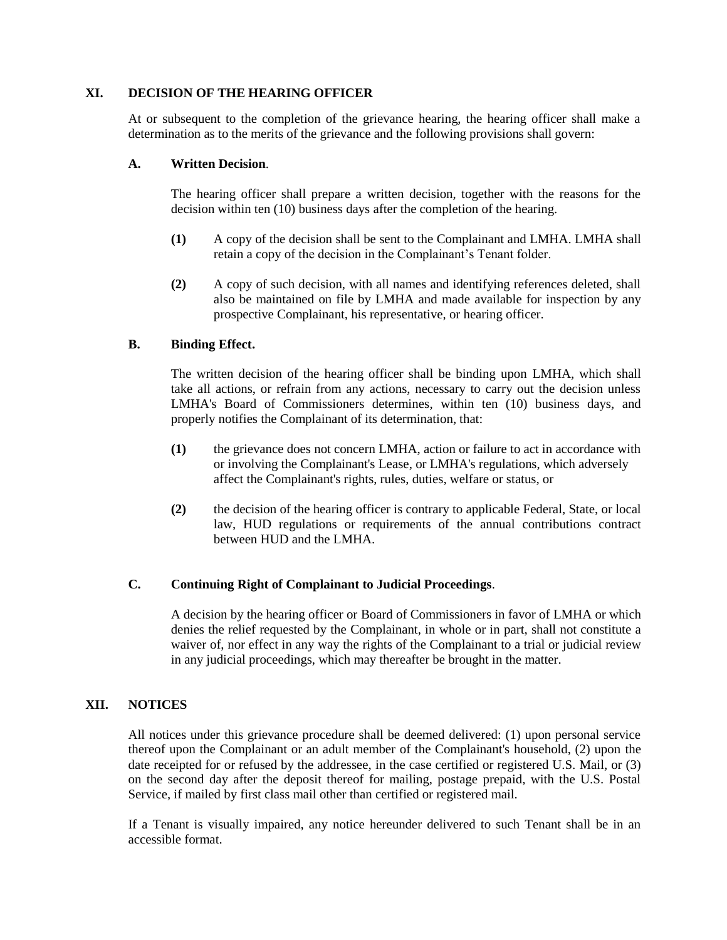#### **XI. DECISION OF THE HEARING OFFICER**

At or subsequent to the completion of the grievance hearing, the hearing officer shall make a determination as to the merits of the grievance and the following provisions shall govern:

#### **A. Written Decision**.

The hearing officer shall prepare a written decision, together with the reasons for the decision within ten (10) business days after the completion of the hearing.

- **(1)** A copy of the decision shall be sent to the Complainant and LMHA. LMHA shall retain a copy of the decision in the Complainant's Tenant folder.
- **(2)** A copy of such decision, with all names and identifying references deleted, shall also be maintained on file by LMHA and made available for inspection by any prospective Complainant, his representative, or hearing officer.

## **B. Binding Effect.**

The written decision of the hearing officer shall be binding upon LMHA, which shall take all actions, or refrain from any actions, necessary to carry out the decision unless LMHA's Board of Commissioners determines, within ten (10) business days, and properly notifies the Complainant of its determination, that:

- **(1)** the grievance does not concern LMHA, action or failure to act in accordance with or involving the Complainant's Lease, or LMHA's regulations, which adversely affect the Complainant's rights, rules, duties, welfare or status, or
- **(2)** the decision of the hearing officer is contrary to applicable Federal, State, or local law, HUD regulations or requirements of the annual contributions contract between HUD and the LMHA.

## **C. Continuing Right of Complainant to Judicial Proceedings**.

A decision by the hearing officer or Board of Commissioners in favor of LMHA or which denies the relief requested by the Complainant, in whole or in part, shall not constitute a waiver of, nor effect in any way the rights of the Complainant to a trial or judicial review in any judicial proceedings, which may thereafter be brought in the matter.

## **XII. NOTICES**

All notices under this grievance procedure shall be deemed delivered: (1) upon personal service thereof upon the Complainant or an adult member of the Complainant's household, (2) upon the date receipted for or refused by the addressee, in the case certified or registered U.S. Mail, or (3) on the second day after the deposit thereof for mailing, postage prepaid, with the U.S. Postal Service, if mailed by first class mail other than certified or registered mail.

If a Tenant is visually impaired, any notice hereunder delivered to such Tenant shall be in an accessible format.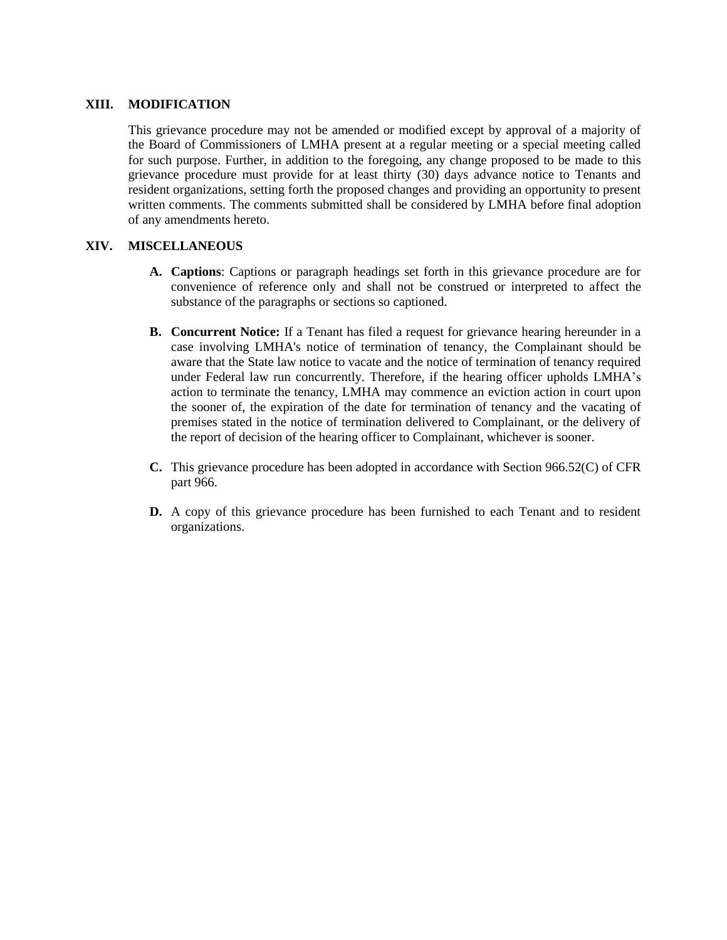## **XIII. MODIFICATION**

This grievance procedure may not be amended or modified except by approval of a majority of the Board of Commissioners of LMHA present at a regular meeting or a special meeting called for such purpose. Further, in addition to the foregoing, any change proposed to be made to this grievance procedure must provide for at least thirty (30) days advance notice to Tenants and resident organizations, setting forth the proposed changes and providing an opportunity to present written comments. The comments submitted shall be considered by LMHA before final adoption of any amendments hereto.

## **XIV. MISCELLANEOUS**

- **A. Captions**: Captions or paragraph headings set forth in this grievance procedure are for convenience of reference only and shall not be construed or interpreted to affect the substance of the paragraphs or sections so captioned.
- **B. Concurrent Notice:** If a Tenant has filed a request for grievance hearing hereunder in a case involving LMHA's notice of termination of tenancy, the Complainant should be aware that the State law notice to vacate and the notice of termination of tenancy required under Federal law run concurrently. Therefore, if the hearing officer upholds LMHA's action to terminate the tenancy, LMHA may commence an eviction action in court upon the sooner of, the expiration of the date for termination of tenancy and the vacating of premises stated in the notice of termination delivered to Complainant, or the delivery of the report of decision of the hearing officer to Complainant, whichever is sooner.
- **C.** This grievance procedure has been adopted in accordance with Section 966.52(C) of CFR part 966.
- **D.** A copy of this grievance procedure has been furnished to each Tenant and to resident organizations.